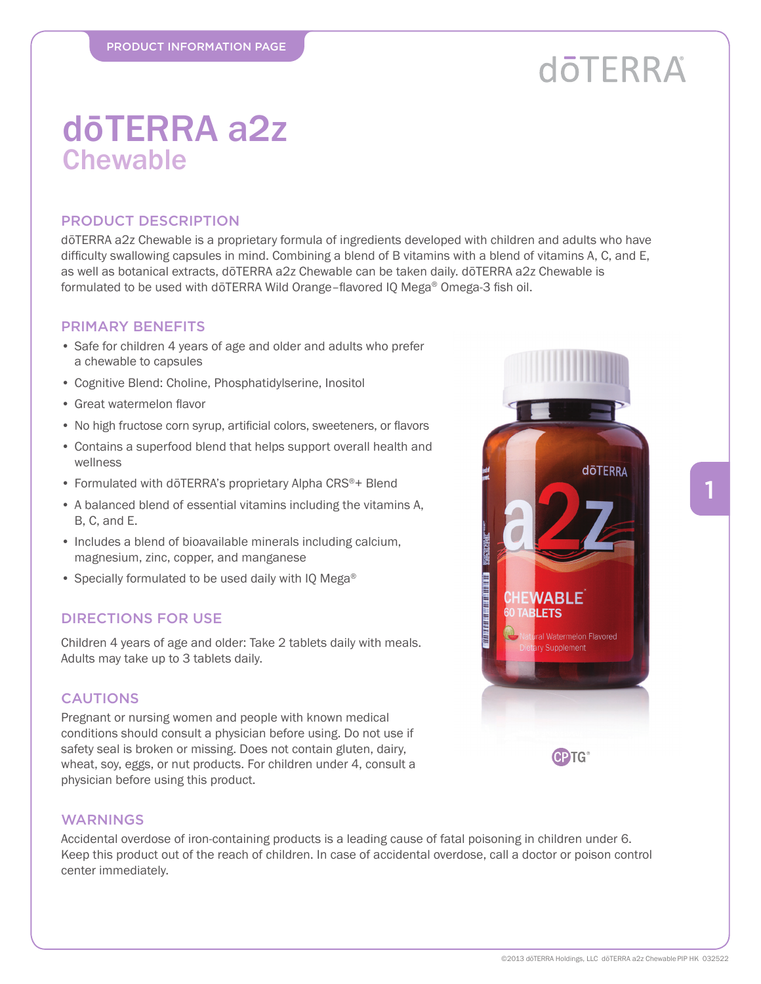# **döTERRA**

**döTERRA** 

**Presidential** 

**The Company of the Company of the Company of the Company of the Company of the Company of the Company of the C** 

*NABLE* **IFTS** 

> al Watermelon Flavored v Supplement

> > **CPTG**

### dōTERRA a2z **Chewable**

#### PRODUCT DESCRIPTION

dōTERRA a2z Chewable is a proprietary formula of ingredients developed with children and adults who have difficulty swallowing capsules in mind. Combining a blend of B vitamins with a blend of vitamins A, C, and E, as well as botanical extracts, dōTERRA a2z Chewable can be taken daily. dōTERRA a2z Chewable is formulated to be used with dōTERRA Wild Orange-flavored IQ Mega® Omega-3 fish oil.

#### PRIMARY BENEFITS

- Safe for children 4 years of age and older and adults who prefer a chewable to capsules
- Cognitive Blend: Choline, Phosphatidylserine, Inositol
- Great watermelon flavor
- No high fructose corn syrup, artificial colors, sweeteners, or flavors
- Contains a superfood blend that helps support overall health and wellness
- Formulated with dōTERRA's proprietary Alpha CRS®+ Blend
- A balanced blend of essential vitamins including the vitamins A, B, C, and E.
- Includes a blend of bioavailable minerals including calcium, magnesium, zinc, copper, and manganese
- Specially formulated to be used daily with IQ Mega<sup>®</sup>

#### DIRECTIONS FOR USE

Children 4 years of age and older: Take 2 tablets daily with meals. Adults may take up to 3 tablets daily.

#### CAUTIONS

Pregnant or nursing women and people with known medical conditions should consult a physician before using. Do not use if safety seal is broken or missing. Does not contain gluten, dairy, wheat, soy, eggs, or nut products. For children under 4, consult a physician before using this product.

#### WARNINGS

Accidental overdose of iron-containing products is a leading cause of fatal poisoning in children under 6. Keep this product out of the reach of children. In case of accidental overdose, call a doctor or poison control center immediately.

1